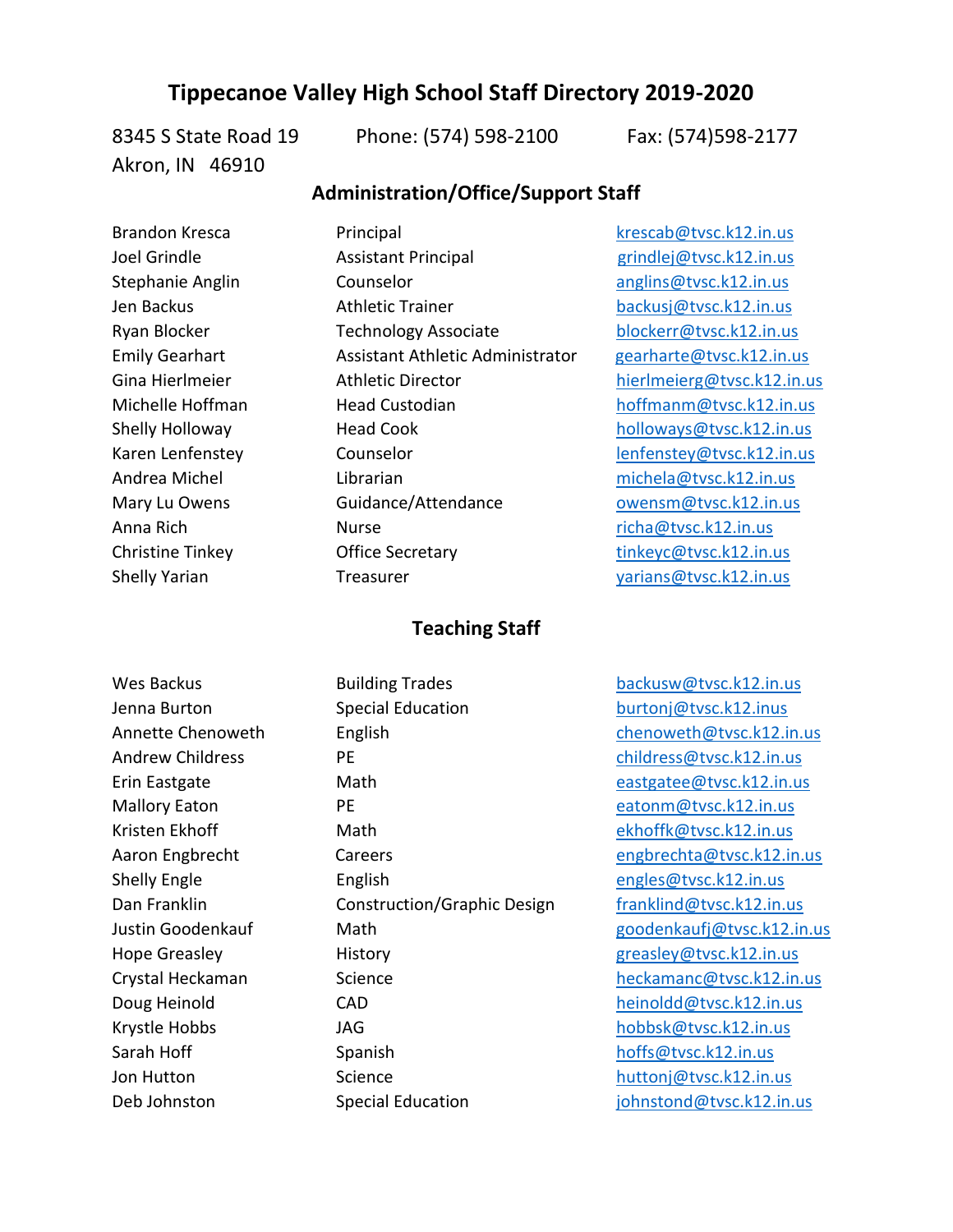## **Tippecanoe Valley High School Staff Directory 2019-2020**

Akron, IN 46910

8345 S State Road 19 Phone: (574) 598-2100 Fax: (574)598-2177

## **Administration/Office/Support Staff**

Brandon Kresca Principal [krescab@tvsc.k12.in.us](mailto:krescab@tvsc.k12.in.us) Joel Grindle **Assistant Principal** Grindlej@tvsc.k12.in.us Stephanie Anglin Counselor and Counselor [anglins@tvsc.k12.in.us](mailto:anglins@tvsc.k12.in.us) Jen Backus Athletic Trainer [backusj@tvsc.k12.in.us](mailto:backusj@tvsc.k12.in.us) Ryan Blocker Technology Associate [blockerr@tvsc.k12.in.us](mailto:blockerr@tvsc.k12.in.us) Emily Gearhart Assistant Athletic Administrator [gearharte@tvsc.k12.in.us](mailto:gearharte@tvsc.k12.in.us) Gina Hierlmeier **Athletic Director** [hierlmeierg@tvsc.k12.in.us](mailto:hierlmeierg@tvsc.k12.in.us) Michelle Hoffman **Head Custodian** Head Custodian [hoffmanm@tvsc.k12.in.us](mailto:hoffmanm@tvsc.k12.in.us) Shelly Holloway **Head Cook** [holloways@tvsc.k12.in.us](mailto:holloways@tvsc.k12.in.us) Karen Lenfenstey Counselor Counselor [lenfenstey@tvsc.k12.in.us](mailto:lenfenstey@tvsc.k12.in.us) Andrea Michel **Librarian** Librarian [michela@tvsc.k12.in.us](mailto:michela@tvsc.k12.in.us) Mary Lu Owens **Guidance/Attendance** [owensm@tvsc.k12.in.us](mailto:owensm@tvsc.k12.in.us) Anna Rich **Nurse** Research Nurse [richa@tvsc.k12.in.us](mailto:richa@tvsc.k12.in.us) Christine Tinkey **Christine Tinkey** Office Secretary [tinkeyc@tvsc.k12.in.us](mailto:tinkeyc@tvsc.k12.in.us)

## Shelly Yarian Treasurer Treasurer [yarians@tvsc.k12.in.us](mailto:yarians@tvsc.k12.in.us)

## **Teaching Staff**

Jenna Burton **Special Education Special Education [burtonj@tvsc.k12.inus](mailto:burtonj@tvsc.k12.inus)** Annette Chenoweth English [chenoweth@tvsc.k12.in.us](mailto:chenoweth@tvsc.k12.in.us) Andrew Childress **PE Childress** PE childress **PE** childress **PE** childress **PE** childress **PE** childress **PE** childress **PE** childress **PE** childress **PE** childress **PE** childress **PE** childress **PE** childress **PE** child Erin Eastgate Math [eastgatee@tvsc.k12.in.us](mailto:eastgatee@tvsc.k12.in.us) Mallory Eaton **PE** [eatonm@tvsc.k12.in.us](mailto:eatonm@tvsc.k12.in.us) Kristen Ekhoff Math Math [ekhoffk@tvsc.k12.in.us](mailto:ekhoffk@tvsc.k12.in.us) Aaron Engbrecht Careers Careers [engbrechta@tvsc.k12.in.us](mailto:engbrechta@tvsc.k12.in.us) Shelly Engle English English Engles@tvsc.k12.in.us Dan Franklin **Construction/Graphic Design** [franklind@tvsc.k12.in.us](mailto:franklind@tvsc.k12.in.us) Justin Goodenkauf Math [goodenkaufj@tvsc.k12.in.us](mailto:goodenkaufj@tvsc.k12.in.us) Hope Greasley **History** History **History Greasley Greasley Greasley Greasley Greasley Greasley Greasley Greasley Greasley Greasley Greasley Greasley Greasley Greasley Greasley Greasley Gre** Crystal Heckaman Science [heckamanc@tvsc.k12.in.us](mailto:heckamanc@tvsc.k12.in.us) Doug Heinold **CAD** CAD [heinoldd@tvsc.k12.in.us](mailto:heinoldd@tvsc.k12.in.us) Krystle Hobbs JAG JAG [hobbsk@tvsc.k12.in.us](mailto:hobbsk@tvsc.k12.in.us) Sarah Hoff Spanish [hoffs@tvsc.k12.in.us](mailto:hoffs@tvsc.k12.in.us) Jon Hutton **Science Science huttonj**@tvsc.k12.in.us Deb Johnston Special Education in a solution of the Special Education substantial in the special Education substantial in the Special Education substantial in the Special Education substantial in the Special Education subs

Wes Backus **Building Trades** [backusw@tvsc.k12.in.us](mailto:backusw@tvsc.k12.in.us)